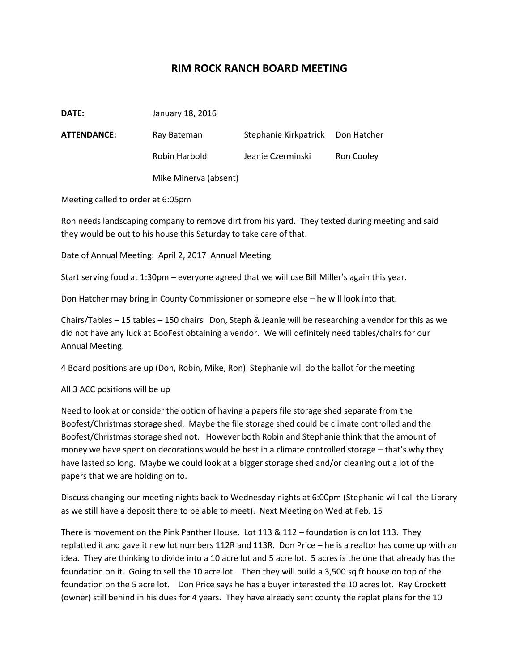## **RIM ROCK RANCH BOARD MEETING**

| <b>ATTENDANCE:</b> | Ray Bateman           | Stephanie Kirkpatrick Don Hatcher |            |
|--------------------|-----------------------|-----------------------------------|------------|
|                    | Robin Harbold         | Jeanie Czerminski                 | Ron Cooley |
|                    | Mike Minerva (absent) |                                   |            |

Meeting called to order at 6:05pm

**DATE:** January 18, 2016

Ron needs landscaping company to remove dirt from his yard. They texted during meeting and said they would be out to his house this Saturday to take care of that.

Date of Annual Meeting: April 2, 2017 Annual Meeting

Start serving food at 1:30pm – everyone agreed that we will use Bill Miller's again this year.

Don Hatcher may bring in County Commissioner or someone else – he will look into that.

Chairs/Tables – 15 tables – 150 chairs Don, Steph & Jeanie will be researching a vendor for this as we did not have any luck at BooFest obtaining a vendor. We will definitely need tables/chairs for our Annual Meeting.

4 Board positions are up (Don, Robin, Mike, Ron) Stephanie will do the ballot for the meeting

## All 3 ACC positions will be up

Need to look at or consider the option of having a papers file storage shed separate from the Boofest/Christmas storage shed. Maybe the file storage shed could be climate controlled and the Boofest/Christmas storage shed not. However both Robin and Stephanie think that the amount of money we have spent on decorations would be best in a climate controlled storage – that's why they have lasted so long. Maybe we could look at a bigger storage shed and/or cleaning out a lot of the papers that we are holding on to.

Discuss changing our meeting nights back to Wednesday nights at 6:00pm (Stephanie will call the Library as we still have a deposit there to be able to meet). Next Meeting on Wed at Feb. 15

There is movement on the Pink Panther House. Lot 113 & 112 – foundation is on lot 113. They replatted it and gave it new lot numbers 112R and 113R. Don Price – he is a realtor has come up with an idea. They are thinking to divide into a 10 acre lot and 5 acre lot. 5 acres is the one that already has the foundation on it. Going to sell the 10 acre lot. Then they will build a 3,500 sq ft house on top of the foundation on the 5 acre lot. Don Price says he has a buyer interested the 10 acres lot. Ray Crockett (owner) still behind in his dues for 4 years. They have already sent county the replat plans for the 10